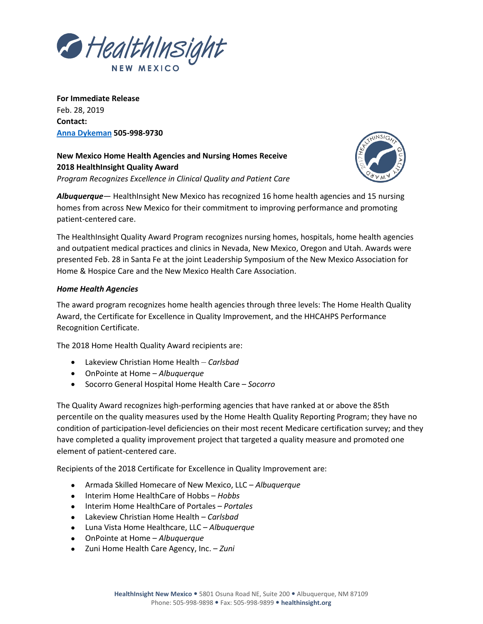

**For Immediate Release** Feb. 28, 2019 **Contact: [Anna Dykeman](mailto:adykeman@healthinsight.org) 505-998-9730**

**New Mexico Home Health Agencies and Nursing Homes Receive 2018 HealthInsight Quality Award** *Program Recognizes Excellence in Clinical Quality and Patient Care*



*Albuquerque*— HealthInsight New Mexico has recognized 16 home health agencies and 15 nursing homes from across New Mexico for their commitment to improving performance and promoting patient-centered care.

The HealthInsight Quality Award Program recognizes nursing homes, hospitals, home health agencies and outpatient medical practices and clinics in Nevada, New Mexico, Oregon and Utah. Awards were presented Feb. 28 in Santa Fe at the joint Leadership Symposium of the New Mexico Association for Home & Hospice Care and the New Mexico Health Care Association.

## *Home Health Agencies*

The award program recognizes home health agencies through three levels: The Home Health Quality Award, the Certificate for Excellence in Quality Improvement, and the HHCAHPS Performance Recognition Certificate.

The 2018 Home Health Quality Award recipients are:

- Lakeview Christian Home Health *Carlsbad*
- OnPointe at Home *Albuquerque*
- Socorro General Hospital Home Health Care *Socorro*

The Quality Award recognizes high-performing agencies that have ranked at or above the 85th percentile on the quality measures used by the Home Health Quality Reporting Program; they have no condition of participation-level deficiencies on their most recent Medicare certification survey; and they have completed a quality improvement project that targeted a quality measure and promoted one element of patient-centered care.

Recipients of the 2018 Certificate for Excellence in Quality Improvement are:

- Armada Skilled Homecare of New Mexico, LLC *Albuquerque*
- Interim Home HealthCare of Hobbs *Hobbs*
- Interim Home HealthCare of Portales *Portales*
- Lakeview Christian Home Health *Carlsbad*
- Luna Vista Home Healthcare, LLC *Albuquerque*
- OnPointe at Home *Albuquerque*
- Zuni Home Health Care Agency, Inc. *Zuni*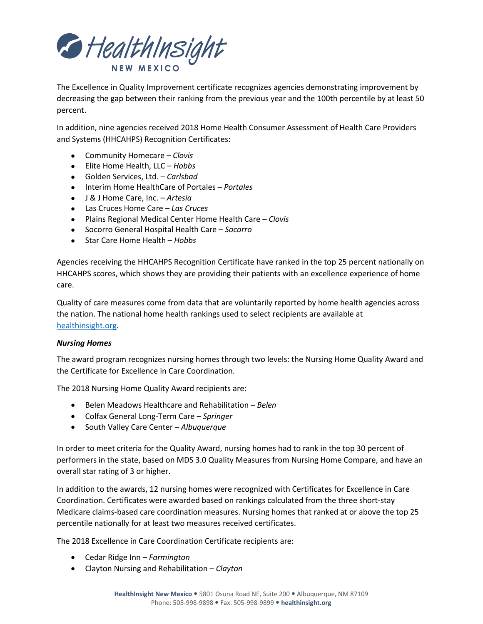

The Excellence in Quality Improvement certificate recognizes agencies demonstrating improvement by decreasing the gap between their ranking from the previous year and the 100th percentile by at least 50 percent.

In addition, nine agencies received 2018 Home Health Consumer Assessment of Health Care Providers and Systems (HHCAHPS) Recognition Certificates:

- Community Homecare *Clovis*
- Elite Home Health, LLC *Hobbs*
- Golden Services, Ltd. *Carlsbad*
- Interim Home HealthCare of Portales *Portales*
- J & J Home Care, Inc. *Artesia*
- Las Cruces Home Care *Las Cruces*
- Plains Regional Medical Center Home Health Care *Clovis*
- Socorro General Hospital Health Care *Socorro*
- Star Care Home Health *Hobbs*

Agencies receiving the HHCAHPS Recognition Certificate have ranked in the top 25 percent nationally on HHCAHPS scores, which shows they are providing their patients with an excellence experience of home care.

Quality of care measures come from data that are voluntarily reported by home health agencies across the nation. The national home health rankings used to select recipients are available at [healthinsight.org.](http://healthinsight.org/)

## *Nursing Homes*

The award program recognizes nursing homes through two levels: the Nursing Home Quality Award and the Certificate for Excellence in Care Coordination.

The 2018 Nursing Home Quality Award recipients are:

- Belen Meadows Healthcare and Rehabilitation *Belen*
- Colfax General Long-Term Care *Springer*
- South Valley Care Center *Albuquerque*

In order to meet criteria for the Quality Award, nursing homes had to rank in the top 30 percent of performers in the state, based on MDS 3.0 Quality Measures from Nursing Home Compare, and have an overall star rating of 3 or higher.

In addition to the awards, 12 nursing homes were recognized with Certificates for Excellence in Care Coordination. Certificates were awarded based on rankings calculated from the three short-stay Medicare claims-based care coordination measures. Nursing homes that ranked at or above the top 25 percentile nationally for at least two measures received certificates.

The 2018 Excellence in Care Coordination Certificate recipients are:

- Cedar Ridge Inn *Farmington*
- Clayton Nursing and Rehabilitation *Clayton*